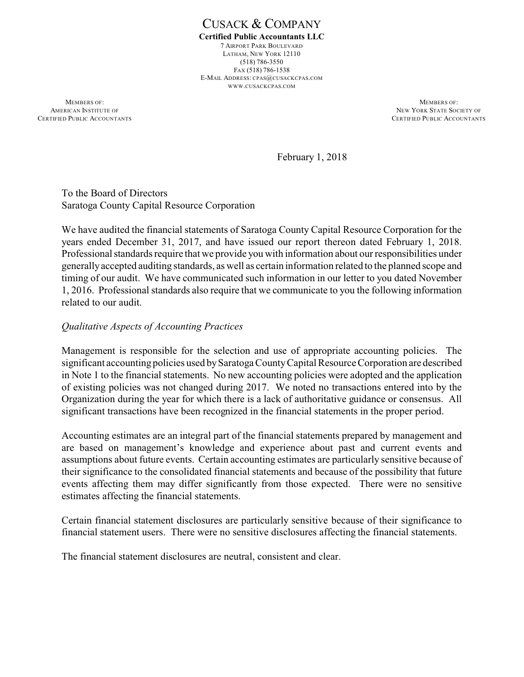CUSACK & COMPANY **Certified Public Accountants LLC** 7 AIRPORT PARK BOULEVARD LATHAM, NEW YORK 12110 (518) 786-3550 FAX (518) 786-1538 E-MAIL ADDRESS: CPAS@CUSACKCPAS.COM WWW.CUSACKCPAS.COM

**MEMBERS OF:** MEMBERS OF: AMERICAN INSTITUTE OF NEW YORK STATE SOCIETY OF NEW YORK STATE SOCIETY OF NEW YORK STATE SOCIETY OF NEW YORK STATE SOCIETY OF NEW YORK STATE SOCIETY OF NEW YORK STATE SOCIETY OF NEW YORK STATE SOCIETY OF NEW YORK STATE SOC

CERTIFIED PUBLIC ACCOUNTANTS

February 1, 2018

To the Board of Directors Saratoga County Capital Resource Corporation

We have audited the financial statements of Saratoga County Capital Resource Corporation for the years ended December 31, 2017, and have issued our report thereon dated February 1, 2018. Professional standards require that we provide you with information about our responsibilities under generallyaccepted auditing standards, as well as certain information related to the planned scope and timing of our audit. We have communicated such information in our letter to you dated November 1, 2016. Professional standards also require that we communicate to you the following information related to our audit.

### *Qualitative Aspects of Accounting Practices*

Management is responsible for the selection and use of appropriate accounting policies. The significant accounting policies used bySaratoga CountyCapital Resource Corporation are described in Note 1 to the financial statements. No new accounting policies were adopted and the application of existing policies was not changed during 2017. We noted no transactions entered into by the Organization during the year for which there is a lack of authoritative guidance or consensus. All significant transactions have been recognized in the financial statements in the proper period.

Accounting estimates are an integral part of the financial statements prepared by management and are based on management's knowledge and experience about past and current events and assumptions about future events. Certain accounting estimates are particularly sensitive because of their significance to the consolidated financial statements and because of the possibility that future events affecting them may differ significantly from those expected. There were no sensitive estimates affecting the financial statements.

Certain financial statement disclosures are particularly sensitive because of their significance to financial statement users. There were no sensitive disclosures affecting the financial statements.

The financial statement disclosures are neutral, consistent and clear.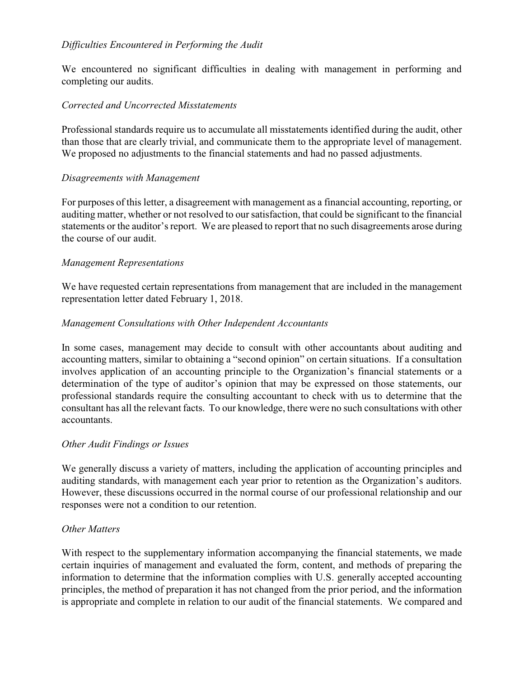# *Difficulties Encountered in Performing the Audit*

We encountered no significant difficulties in dealing with management in performing and completing our audits.

## *Corrected and Uncorrected Misstatements*

Professional standards require us to accumulate all misstatements identified during the audit, other than those that are clearly trivial, and communicate them to the appropriate level of management. We proposed no adjustments to the financial statements and had no passed adjustments.

### *Disagreements with Management*

For purposes of this letter, a disagreement with management as a financial accounting, reporting, or auditing matter, whether or not resolved to our satisfaction, that could be significant to the financial statements or the auditor's report. We are pleased to report that no such disagreements arose during the course of our audit.

### *Management Representations*

We have requested certain representations from management that are included in the management representation letter dated February 1, 2018.

### *Management Consultations with Other Independent Accountants*

In some cases, management may decide to consult with other accountants about auditing and accounting matters, similar to obtaining a "second opinion" on certain situations. If a consultation involves application of an accounting principle to the Organization's financial statements or a determination of the type of auditor's opinion that may be expressed on those statements, our professional standards require the consulting accountant to check with us to determine that the consultant has all the relevant facts. To our knowledge, there were no such consultations with other accountants.

#### *Other Audit Findings or Issues*

We generally discuss a variety of matters, including the application of accounting principles and auditing standards, with management each year prior to retention as the Organization's auditors. However, these discussions occurred in the normal course of our professional relationship and our responses were not a condition to our retention.

#### *Other Matters*

With respect to the supplementary information accompanying the financial statements, we made certain inquiries of management and evaluated the form, content, and methods of preparing the information to determine that the information complies with U.S. generally accepted accounting principles, the method of preparation it has not changed from the prior period, and the information is appropriate and complete in relation to our audit of the financial statements. We compared and